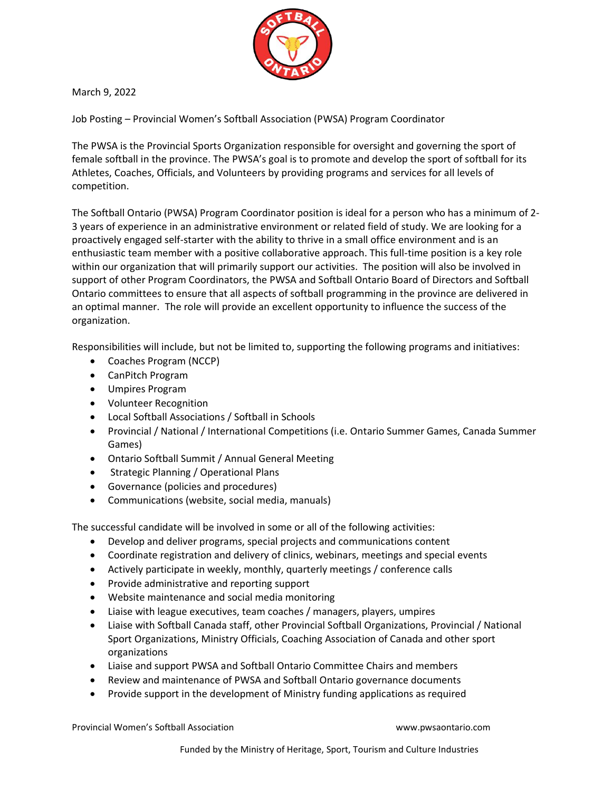

March 9, 2022

Job Posting – Provincial Women's Softball Association (PWSA) Program Coordinator

The PWSA is the Provincial Sports Organization responsible for oversight and governing the sport of female softball in the province. The PWSA's goal is to promote and develop the sport of softball for its Athletes, Coaches, Officials, and Volunteers by providing programs and services for all levels of competition.

The Softball Ontario (PWSA) Program Coordinator position is ideal for a person who has a minimum of 2- 3 years of experience in an administrative environment or related field of study. We are looking for a proactively engaged self-starter with the ability to thrive in a small office environment and is an enthusiastic team member with a positive collaborative approach. This full-time position is a key role within our organization that will primarily support our activities. The position will also be involved in support of other Program Coordinators, the PWSA and Softball Ontario Board of Directors and Softball Ontario committees to ensure that all aspects of softball programming in the province are delivered in an optimal manner. The role will provide an excellent opportunity to influence the success of the organization.

Responsibilities will include, but not be limited to, supporting the following programs and initiatives:

- Coaches Program (NCCP)
- CanPitch Program
- Umpires Program
- Volunteer Recognition
- Local Softball Associations / Softball in Schools
- Provincial / National / International Competitions (i.e. Ontario Summer Games, Canada Summer Games)
- Ontario Softball Summit / Annual General Meeting
- Strategic Planning / Operational Plans
- Governance (policies and procedures)
- Communications (website, social media, manuals)

The successful candidate will be involved in some or all of the following activities:

- Develop and deliver programs, special projects and communications content
- Coordinate registration and delivery of clinics, webinars, meetings and special events
- Actively participate in weekly, monthly, quarterly meetings / conference calls
- Provide administrative and reporting support
- Website maintenance and social media monitoring
- Liaise with league executives, team coaches / managers, players, umpires
- Liaise with Softball Canada staff, other Provincial Softball Organizations, Provincial / National Sport Organizations, Ministry Officials, Coaching Association of Canada and other sport organizations
- Liaise and support PWSA and Softball Ontario Committee Chairs and members
- Review and maintenance of PWSA and Softball Ontario governance documents
- Provide support in the development of Ministry funding applications as required

Provincial Women's Softball Association www.pwsaontario.com